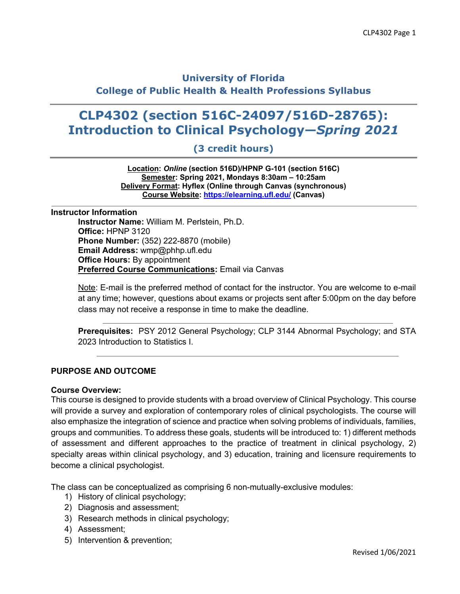# **University of Florida College of Public Health & Health Professions Syllabus**

# **CLP4302 (section 516C-24097/516D-28765): Introduction to Clinical Psychology—***Spring 2021*

# **(3 credit hours)**

**Location:** *Online* **(section 516D)/HPNP G-101 (section 516C) Semester: Spring 2021, Mondays 8:30am – 10:25am Delivery Format: Hyflex (Online through Canvas (synchronous) Course Website: https://elearning.ufl.edu/ (Canvas)**

#### **Instructor Information**

**Instructor Name:** William M. Perlstein, Ph.D. **Office:** HPNP 3120 **Phone Number:** (352) 222-8870 (mobile) **Email Address:** wmp@phhp.ufl.edu **Office Hours:** By appointment **Preferred Course Communications:** Email via Canvas

Note: E-mail is the preferred method of contact for the instructor. You are welcome to e-mail at any time; however, questions about exams or projects sent after 5:00pm on the day before class may not receive a response in time to make the deadline.

**Prerequisites:** PSY 2012 General Psychology; CLP 3144 Abnormal Psychology; and STA 2023 Introduction to Statistics I.

#### **PURPOSE AND OUTCOME**

#### **Course Overview:**

This course is designed to provide students with a broad overview of Clinical Psychology. This course will provide a survey and exploration of contemporary roles of clinical psychologists. The course will also emphasize the integration of science and practice when solving problems of individuals, families, groups and communities. To address these goals, students will be introduced to: 1) different methods of assessment and different approaches to the practice of treatment in clinical psychology, 2) specialty areas within clinical psychology, and 3) education, training and licensure requirements to become a clinical psychologist.

The class can be conceptualized as comprising 6 non-mutually-exclusive modules:

- 1) History of clinical psychology;
- 2) Diagnosis and assessment;
- 3) Research methods in clinical psychology;
- 4) Assessment;
- 5) Intervention & prevention;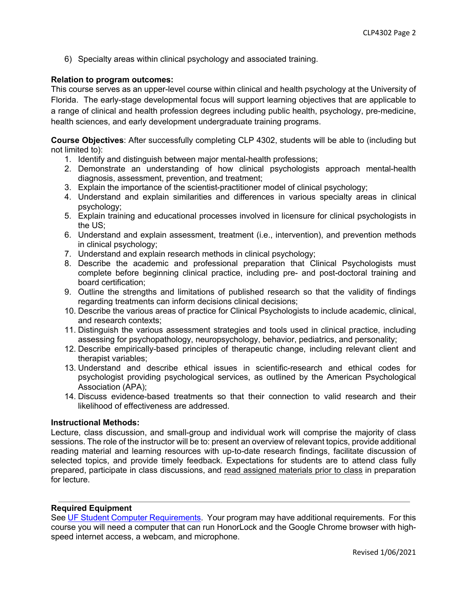6) Specialty areas within clinical psychology and associated training.

# **Relation to program outcomes:**

This course serves as an upper-level course within clinical and health psychology at the University of Florida. The early-stage developmental focus will support learning objectives that are applicable to a range of clinical and health profession degrees including public health, psychology, pre-medicine, health sciences, and early development undergraduate training programs.

**Course Objectives**: After successfully completing CLP 4302, students will be able to (including but not limited to):

- 1. Identify and distinguish between major mental-health professions;
- 2. Demonstrate an understanding of how clinical psychologists approach mental-health diagnosis, assessment, prevention, and treatment;
- 3. Explain the importance of the scientist-practitioner model of clinical psychology;
- 4. Understand and explain similarities and differences in various specialty areas in clinical psychology;
- 5. Explain training and educational processes involved in licensure for clinical psychologists in the US;
- 6. Understand and explain assessment, treatment (i.e., intervention), and prevention methods in clinical psychology;
- 7. Understand and explain research methods in clinical psychology;
- 8. Describe the academic and professional preparation that Clinical Psychologists must complete before beginning clinical practice, including pre- and post-doctoral training and board certification;
- 9. Outline the strengths and limitations of published research so that the validity of findings regarding treatments can inform decisions clinical decisions;
- 10. Describe the various areas of practice for Clinical Psychologists to include academic, clinical, and research contexts;
- 11. Distinguish the various assessment strategies and tools used in clinical practice, including assessing for psychopathology, neuropsychology, behavior, pediatrics, and personality;
- 12. Describe empirically-based principles of therapeutic change, including relevant client and therapist variables;
- 13. Understand and describe ethical issues in scientific-research and ethical codes for psychologist providing psychological services, as outlined by the American Psychological Association (APA);
- 14. Discuss evidence-based treatments so that their connection to valid research and their likelihood of effectiveness are addressed.

#### **Instructional Methods:**

Lecture, class discussion, and small-group and individual work will comprise the majority of class sessions. The role of the instructor will be to: present an overview of relevant topics, provide additional reading material and learning resources with up-to-date research findings, facilitate discussion of selected topics, and provide timely feedback. Expectations for students are to attend class fully prepared, participate in class discussions, and read assigned materials prior to class in preparation for lecture.

# **Required Equipment**

See UF Student Computer Requirements. Your program may have additional requirements. For this course you will need a computer that can run HonorLock and the Google Chrome browser with highspeed internet access, a webcam, and microphone.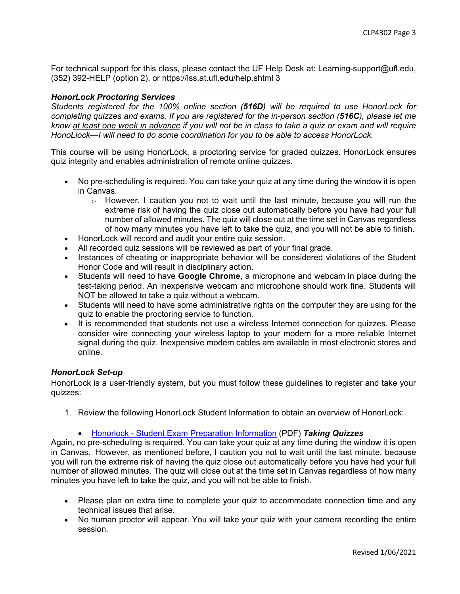For technical support for this class, please contact the UF Help Desk at: Learning-support@ufl.edu, (352) 392-HELP (option 2), or https://lss.at.ufl.edu/help.shtml 3

#### *HonorLock Proctoring Services*

*Students registered for the 100% online section (516D) will be required to use HonorLock for completing quizzes and exams, If you are registered for the in-person section (516C), please let me know at least one week in advance if you will not be in class to take a quiz or exam and will require HonoLlock—I will need to do some coordination for you to be able to access HonorLock.*

This course will be using HonorLock, a proctoring service for graded quizzes. HonorLock ensures quiz integrity and enables administration of remote online quizzes.

- No pre-scheduling is required. You can take your quiz at any time during the window it is open in Canvas.
	- $\circ$  However, I caution you not to wait until the last minute, because you will run the extreme risk of having the quiz close out automatically before you have had your full number of allowed minutes. The quiz will close out at the time set in Canvas regardless of how many minutes you have left to take the quiz, and you will not be able to finish.
- HonorLock will record and audit your entire quiz session.
- All recorded quiz sessions will be reviewed as part of your final grade.
- Instances of cheating or inappropriate behavior will be considered violations of the Student Honor Code and will result in disciplinary action.
- Students will need to have **Google Chrome**, a microphone and webcam in place during the test-taking period. An inexpensive webcam and microphone should work fine. Students will NOT be allowed to take a quiz without a webcam.
- Students will need to have some administrative rights on the computer they are using for the quiz to enable the proctoring service to function.
- It is recommended that students not use a wireless Internet connection for quizzes. Please consider wire connecting your wireless laptop to your modem for a more reliable Internet signal during the quiz. Inexpensive modem cables are available in most electronic stores and online.

#### *HonorLock Set-up*

HonorLock is a user-friendly system, but you must follow these guidelines to register and take your quizzes:

1. Review the following HonorLock Student Information to obtain an overview of HonorLock:

#### • Honorlock - Student Exam Preparation Information (PDF) *Taking Quizzes*

Again, no pre-scheduling is required. You can take your quiz at any time during the window it is open in Canvas. However, as mentioned before, I caution you not to wait until the last minute, because you will run the extreme risk of having the quiz close out automatically before you have had your full number of allowed minutes. The quiz will close out at the time set in Canvas regardless of how many minutes you have left to take the quiz, and you will not be able to finish.

- Please plan on extra time to complete your quiz to accommodate connection time and any technical issues that arise.
- No human proctor will appear. You will take your quiz with your camera recording the entire session.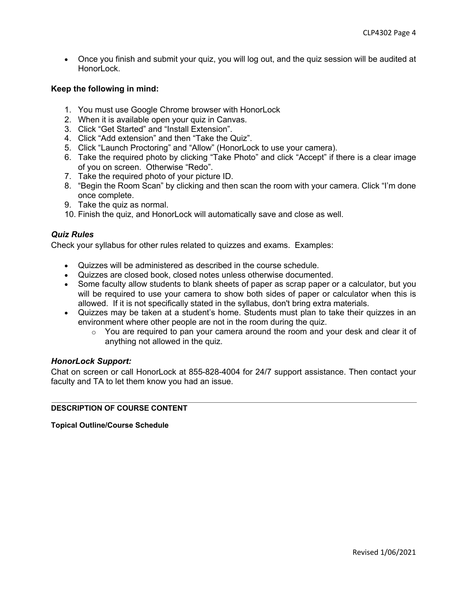• Once you finish and submit your quiz, you will log out, and the quiz session will be audited at HonorLock.

# **Keep the following in mind:**

- 1. You must use Google Chrome browser with HonorLock
- 2. When it is available open your quiz in Canvas.
- 3. Click "Get Started" and "Install Extension".
- 4. Click "Add extension" and then "Take the Quiz".
- 5. Click "Launch Proctoring" and "Allow" (HonorLock to use your camera).
- 6. Take the required photo by clicking "Take Photo" and click "Accept" if there is a clear image of you on screen. Otherwise "Redo".
- 7. Take the required photo of your picture ID.
- 8. "Begin the Room Scan" by clicking and then scan the room with your camera. Click "I'm done once complete.
- 9. Take the quiz as normal.
- 10. Finish the quiz, and HonorLock will automatically save and close as well.

# *Quiz Rules*

Check your syllabus for other rules related to quizzes and exams. Examples:

- Quizzes will be administered as described in the course schedule.
- Quizzes are closed book, closed notes unless otherwise documented.
- Some faculty allow students to blank sheets of paper as scrap paper or a calculator, but you will be required to use your camera to show both sides of paper or calculator when this is allowed. If it is not specifically stated in the syllabus, don't bring extra materials.
- Quizzes may be taken at a student's home. Students must plan to take their quizzes in an environment where other people are not in the room during the quiz.
	- $\circ$  You are required to pan your camera around the room and your desk and clear it of anything not allowed in the quiz.

#### *HonorLock Support:*

Chat on screen or call HonorLock at 855-828-4004 for 24/7 support assistance. Then contact your faculty and TA to let them know you had an issue.

#### **DESCRIPTION OF COURSE CONTENT**

**Topical Outline/Course Schedule**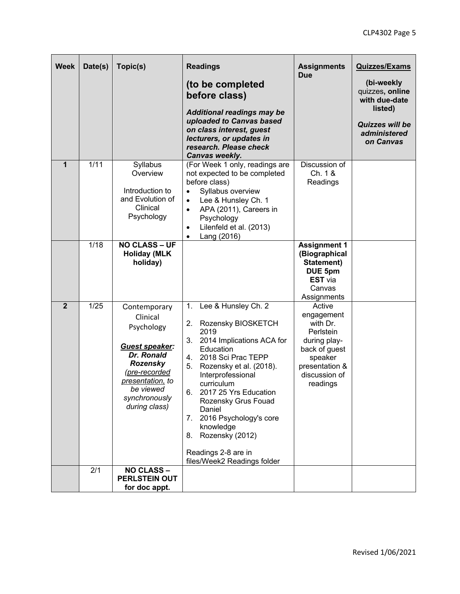| <b>Week</b>    | Date(s) | Topic(s)                                                                                                                                                                      | <b>Readings</b><br>(to be completed<br>before class)<br><b>Additional readings may be</b><br>uploaded to Canvas based<br>on class interest, guest<br>lecturers, or updates in<br>research. Please check<br>Canvas weekly.                                                                                                                                                                                 | <b>Assignments</b><br><b>Due</b>                                                                                                         | <b>Quizzes/Exams</b><br>(bi-weekly<br>quizzes, online<br>with due-date<br>listed)<br>Quizzes will be<br>administered<br>on Canvas |
|----------------|---------|-------------------------------------------------------------------------------------------------------------------------------------------------------------------------------|-----------------------------------------------------------------------------------------------------------------------------------------------------------------------------------------------------------------------------------------------------------------------------------------------------------------------------------------------------------------------------------------------------------|------------------------------------------------------------------------------------------------------------------------------------------|-----------------------------------------------------------------------------------------------------------------------------------|
| 1              | 1/11    | Syllabus<br>Overview<br>Introduction to<br>and Evolution of<br>Clinical<br>Psychology                                                                                         | (For Week 1 only, readings are<br>not expected to be completed<br>before class)<br>Syllabus overview<br>$\bullet$<br>Lee & Hunsley Ch. 1<br>$\bullet$<br>APA (2011), Careers in<br>$\bullet$<br>Psychology<br>Lilenfeld et al. (2013)<br>$\bullet$<br>Lang (2016)<br>$\bullet$                                                                                                                            | Discussion of<br>Ch. 1 &<br>Readings                                                                                                     |                                                                                                                                   |
|                | 1/18    | <b>NO CLASS - UF</b><br><b>Holiday (MLK</b><br>holiday)                                                                                                                       |                                                                                                                                                                                                                                                                                                                                                                                                           | <b>Assignment 1</b><br>(Biographical<br>Statement)<br>DUE 5pm<br><b>EST</b> via<br>Canvas<br>Assignments                                 |                                                                                                                                   |
| $\overline{2}$ | 1/25    | Contemporary<br>Clinical<br>Psychology<br>Guest speaker:<br>Dr. Ronald<br><b>Rozensky</b><br>(pre-recorded<br>presentation, to<br>be viewed<br>synchronously<br>during class) | 1.<br>Lee & Hunsley Ch. 2<br>2.<br>Rozensky BIOSKETCH<br>2019<br>2014 Implications ACA for<br>3.<br>Education<br>2018 Sci Prac TEPP<br>4.<br>5.<br>Rozensky et al. (2018).<br>Interprofessional<br>curriculum<br>2017 25 Yrs Education<br>6.<br>Rozensky Grus Fouad<br>Daniel<br>2016 Psychology's core<br>7.<br>knowledge<br>Rozensky (2012)<br>8.<br>Readings 2-8 are in<br>files/Week2 Readings folder | Active<br>engagement<br>with Dr.<br>Perlstein<br>during play-<br>back of guest<br>speaker<br>presentation &<br>discussion of<br>readings |                                                                                                                                   |
|                | 2/1     | <b>NO CLASS -</b><br><b>PERLSTEIN OUT</b><br>for doc appt.                                                                                                                    |                                                                                                                                                                                                                                                                                                                                                                                                           |                                                                                                                                          |                                                                                                                                   |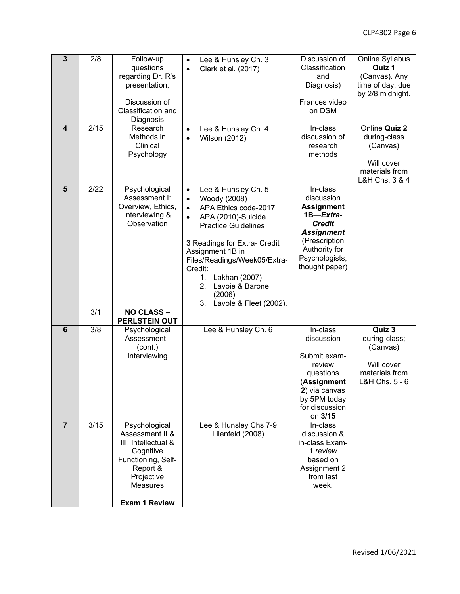| $\overline{3}$<br>$\boldsymbol{4}$ | 2/8<br>2/15 | Follow-up<br>questions<br>regarding Dr. R's<br>presentation;<br>Discussion of<br>Classification and<br>Diagnosis<br>Research                             | Lee & Hunsley Ch. 3<br>$\bullet$<br>Clark et al. (2017)<br>$\bullet$                                                                                                                                                                                                                                                                                         | Discussion of<br>Classification<br>and<br>Diagnosis)<br>Frances video<br>on DSM<br>In-class                                                                          | Online Syllabus<br>Quiz 1<br>(Canvas). Any<br>time of day; due<br>by 2/8 midnight.<br>Online Quiz 2 |
|------------------------------------|-------------|----------------------------------------------------------------------------------------------------------------------------------------------------------|--------------------------------------------------------------------------------------------------------------------------------------------------------------------------------------------------------------------------------------------------------------------------------------------------------------------------------------------------------------|----------------------------------------------------------------------------------------------------------------------------------------------------------------------|-----------------------------------------------------------------------------------------------------|
|                                    |             | Methods in<br>Clinical<br>Psychology                                                                                                                     | Lee & Hunsley Ch. 4<br>$\bullet$<br><b>Wilson (2012)</b><br>$\bullet$                                                                                                                                                                                                                                                                                        | discussion of<br>research<br>methods                                                                                                                                 | during-class<br>(Canvas)<br>Will cover<br>materials from<br>L&H Chs. 3 & 4                          |
| 5                                  | 2/22        | Psychological<br>Assessment I:<br>Overview, Ethics,<br>Interviewing &<br>Observation                                                                     | Lee & Hunsley Ch. 5<br>$\bullet$<br>Woody (2008)<br>$\bullet$<br>APA Ethics code-2017<br>$\bullet$<br>APA (2010)-Suicide<br>$\bullet$<br><b>Practice Guidelines</b><br>3 Readings for Extra- Credit<br>Assignment 1B in<br>Files/Readings/Week05/Extra-<br>Credit:<br>1.<br>Lakhan (2007)<br>2.<br>Lavoie & Barone<br>(2006)<br>3.<br>Lavole & Fleet (2002). | In-class<br>discussion<br><b>Assignment</b><br>1B-Extra-<br><b>Credit</b><br><b>Assignment</b><br>(Prescription<br>Authority for<br>Psychologists,<br>thought paper) |                                                                                                     |
|                                    | 3/1         | <b>NO CLASS -</b><br>PERLSTEIN OUT                                                                                                                       |                                                                                                                                                                                                                                                                                                                                                              |                                                                                                                                                                      |                                                                                                     |
| 6                                  | 3/8         | Psychological<br>Assessment I<br>(cont.)<br>Interviewing                                                                                                 | Lee & Hunsley Ch. 6                                                                                                                                                                                                                                                                                                                                          | In-class<br>discussion<br>Submit exam-<br>review<br>questions<br>(Assignment<br>2) via canvas<br>by 5PM today<br>for discussion<br>on 3/15                           | Quiz 3<br>during-class;<br>(Canvas)<br>Will cover<br>materials from<br>L&H Chs. 5 - 6               |
| $\overline{7}$                     | 3/15        | Psychological<br>Assessment II &<br>III: Intellectual &<br>Cognitive<br>Functioning, Self-<br>Report &<br>Projective<br>Measures<br><b>Exam 1 Review</b> | Lee & Hunsley Chs 7-9<br>Lilenfeld (2008)                                                                                                                                                                                                                                                                                                                    | In-class<br>discussion &<br>in-class Exam-<br>1 review<br>based on<br>Assignment 2<br>from last<br>week.                                                             |                                                                                                     |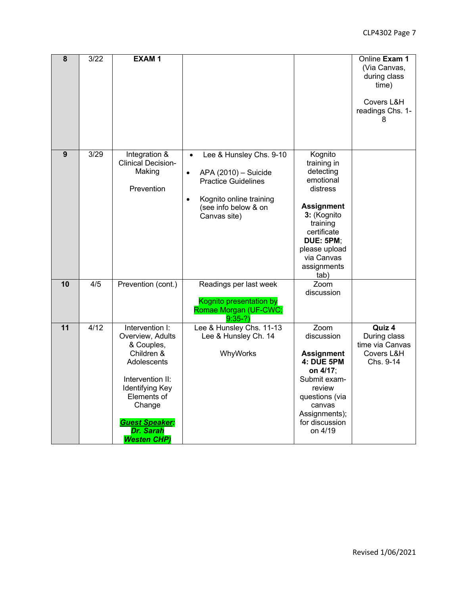| $\overline{8}$  | 3/22 | <b>EXAM1</b>                                                                                                                                                                                                      |                                                                                                                                                                                         |                                                                                                                                                                                                       | Online Exam 1<br>(Via Canvas,<br>during class<br>time)<br>Covers L&H<br>readings Chs. 1- |
|-----------------|------|-------------------------------------------------------------------------------------------------------------------------------------------------------------------------------------------------------------------|-----------------------------------------------------------------------------------------------------------------------------------------------------------------------------------------|-------------------------------------------------------------------------------------------------------------------------------------------------------------------------------------------------------|------------------------------------------------------------------------------------------|
|                 |      |                                                                                                                                                                                                                   |                                                                                                                                                                                         |                                                                                                                                                                                                       | 8                                                                                        |
| 9               | 3/29 | Integration &<br><b>Clinical Decision-</b><br>Making<br>Prevention                                                                                                                                                | Lee & Hunsley Chs. 9-10<br>$\bullet$<br>APA (2010) - Suicide<br>$\bullet$<br><b>Practice Guidelines</b><br>Kognito online training<br>$\bullet$<br>(see info below & on<br>Canvas site) | Kognito<br>training in<br>detecting<br>emotional<br>distress<br><b>Assignment</b><br>3: (Kognito<br>training<br>certificate<br><b>DUE: 5PM;</b><br>please upload<br>via Canvas<br>assignments<br>tab) |                                                                                          |
| 10              | 4/5  | Prevention (cont.)                                                                                                                                                                                                | Readings per last week<br>Kognito presentation by<br>Romae Morgan (UF-CWC;<br>$9:35-?$                                                                                                  | Zoom<br>discussion                                                                                                                                                                                    |                                                                                          |
| $\overline{11}$ | 4/12 | Intervention I:<br>Overview, Adults<br>& Couples,<br>Children &<br>Adolescents<br>Intervention II:<br><b>Identifying Key</b><br>Elements of<br>Change<br><b>Guest Speaker:</b><br>Dr. Sarah<br><b>Westen CHP)</b> | Lee & Hunsley Chs. 11-13<br>Lee & Hunsley Ch. 14<br>WhyWorks                                                                                                                            | Zoom<br>discussion<br><b>Assignment</b><br>4: DUE 5PM<br>on 4/17;<br>Submit exam-<br>review<br>questions (via<br>canvas<br>Assignments);<br>for discussion<br>on 4/19                                 | Quiz 4<br>During class<br>time via Canvas<br>Covers L&H<br>Chs. 9-14                     |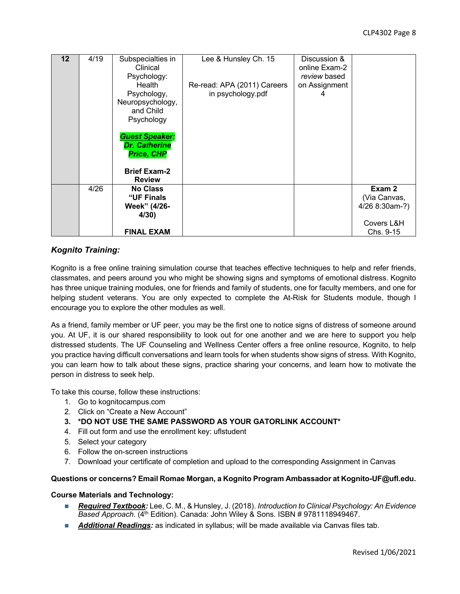| $12 \overline{ }$ | 4/19 | Subspecialties in<br>Clinical<br>Psychology:<br>Health<br>Psychology,<br>Neuropsychology,<br>and Child<br>Psychology<br><b>Guest Speaker:</b><br><b>Dr. Catherine</b><br><b>Price, CHP</b><br><b>Brief Exam-2</b><br><b>Review</b> | Lee & Hunsley Ch. 15<br>Re-read: APA (2011) Careers<br>in psychology.pdf | Discussion &<br>online Exam-2<br>review based<br>on Assignment<br>4 |                                                                     |
|-------------------|------|------------------------------------------------------------------------------------------------------------------------------------------------------------------------------------------------------------------------------------|--------------------------------------------------------------------------|---------------------------------------------------------------------|---------------------------------------------------------------------|
|                   | 4/26 | <b>No Class</b><br>"UF Finals<br>Week" (4/26-<br>4/30)<br><b>FINAL EXAM</b>                                                                                                                                                        |                                                                          |                                                                     | Exam 2<br>(Via Canvas,<br>4/26 8:30am-?)<br>Covers L&H<br>Chs. 9-15 |

# *Kognito Training:*

Kognito is a free online training simulation course that teaches effective techniques to help and refer friends, classmates, and peers around you who might be showing signs and symptoms of emotional distress. Kognito has three unique training modules, one for friends and family of students, one for faculty members, and one for helping student veterans. You are only expected to complete the At-Risk for Students module, though I encourage you to explore the other modules as well.

As a friend, family member or UF peer, you may be the first one to notice signs of distress of someone around you. At UF, it is our shared responsibility to look out for one another and we are here to support you help distressed students. The UF Counseling and Wellness Center offers a free online resource, Kognito, to help you practice having difficult conversations and learn tools for when students show signs of stress. With Kognito, you can learn how to talk about these signs, practice sharing your concerns, and learn how to motivate the person in distress to seek help.

To take this course, follow these instructions:

- 1. Go to kognitocampus.com
- 2. Click on "Create a New Account"
- **3. \*DO NOT USE THE SAME PASSWORD AS YOUR GATORLINK ACCOUNT\***
- 4. Fill out form and use the enrollment key: uflstudent
- 5. Select your category
- 6. Follow the on-screen instructions
- 7. Download your certificate of completion and upload to the corresponding Assignment in Canvas

#### **Questions or concerns? Email Romae Morgan, a Kognito Program Ambassador at Kognito-UF@ufl.edu.**

#### **Course Materials and Technology:**

- *Required Textbook:* Lee, C. M., & Hunsley, J. (2018). *Introduction to Clinical Psychology: An Evidence Based Approach*. (4th Edition). Canada: John Wiley & Sons. ISBN # 9781118949467.
- **Additional Readings:** as indicated in syllabus; will be made available via Canvas files tab.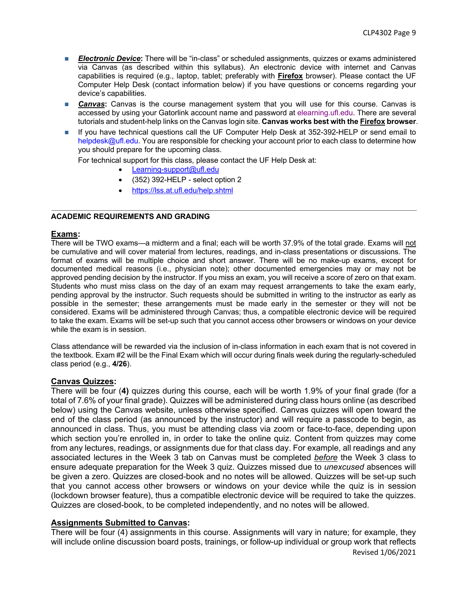- **Electronic Device:** There will be "in-class" or scheduled assignments, quizzes or exams administered via Canvas (as described within this syllabus). An electronic device with internet and Canvas capabilities is required (e.g., laptop, tablet; preferably with **Firefox** browser). Please contact the UF Computer Help Desk (contact information below) if you have questions or concerns regarding your device's capabilities.
- **Canvas:** Canvas is the course management system that you will use for this course. Canvas is accessed by using your Gatorlink account name and password at elearning.ufl.edu. There are several tutorials and student-help links on the Canvas login site. **Canvas works best with the Firefox browser**.
- n If you have technical questions call the UF Computer Help Desk at 352-392-HELP or send email to helpdesk@ufl.edu. You are responsible for checking your account prior to each class to determine how you should prepare for the upcoming class.

For technical support for this class, please contact the UF Help Desk at:

- Learning-support@ufl.edu
- (352) 392-HELP select option 2
- https://lss.at.ufl.edu/help.shtml

#### **ACADEMIC REQUIREMENTS AND GRADING**

#### **Exams:**

There will be TWO exams—a midterm and a final; each will be worth 37.9% of the total grade. Exams will not be cumulative and will cover material from lectures, readings, and in-class presentations or discussions. The format of exams will be multiple choice and short answer. There will be no make-up exams, except for documented medical reasons (i.e., physician note); other documented emergencies may or may not be approved pending decision by the instructor. If you miss an exam, you will receive a score of zero on that exam. Students who must miss class on the day of an exam may request arrangements to take the exam early, pending approval by the instructor. Such requests should be submitted in writing to the instructor as early as possible in the semester; these arrangements must be made early in the semester or they will not be considered. Exams will be administered through Canvas; thus, a compatible electronic device will be required to take the exam. Exams will be set-up such that you cannot access other browsers or windows on your device while the exam is in session.

Class attendance will be rewarded via the inclusion of in-class information in each exam that is not covered in the textbook. Exam #2 will be the Final Exam which will occur during finals week during the regularly-scheduled class period (e.g., **4/26**).

#### **Canvas Quizzes:**

There will be four (**4)** quizzes during this course, each will be worth 1.9% of your final grade (for a total of 7.6% of your final grade). Quizzes will be administered during class hours online (as described below) using the Canvas website, unless otherwise specified. Canvas quizzes will open toward the end of the class period (as announced by the instructor) and will require a passcode to begin, as announced in class. Thus, you must be attending class via zoom or face-to-face, depending upon which section you're enrolled in, in order to take the online quiz. Content from quizzes may come from any lectures, readings, or assignments due for that class day. For example, all readings and any associated lectures in the Week 3 tab on Canvas must be completed *before* the Week 3 class to ensure adequate preparation for the Week 3 quiz. Quizzes missed due to *unexcused* absences will be given a zero. Quizzes are closed-book and no notes will be allowed. Quizzes will be set-up such that you cannot access other browsers or windows on your device while the quiz is in session (lockdown browser feature), thus a compatible electronic device will be required to take the quizzes. Quizzes are closed-book, to be completed independently, and no notes will be allowed.

#### **Assignments Submitted to Canvas:**

Revised 1/06/2021 There will be four (4) assignments in this course. Assignments will vary in nature; for example, they will include online discussion board posts, trainings, or follow-up individual or group work that reflects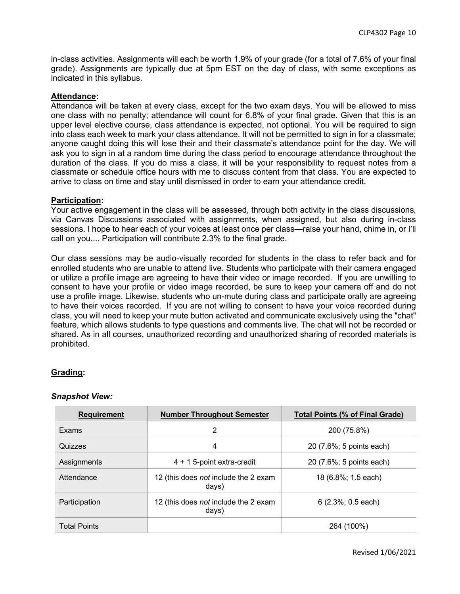in-class activities. Assignments will each be worth 1.9% of your grade (for a total of 7.6% of your final grade). Assignments are typically due at 5pm EST on the day of class, with some exceptions as indicated in this syllabus.

#### **Attendance:**

Attendance will be taken at every class, except for the two exam days. You will be allowed to miss one class with no penalty; attendance will count for 6.8% of your final grade. Given that this is an upper level elective course, class attendance is expected, not optional. You will be required to sign into class each week to mark your class attendance. It will not be permitted to sign in for a classmate; anyone caught doing this will lose their and their classmate's attendance point for the day. We will ask you to sign in at a random time during the class period to encourage attendance throughout the duration of the class. If you do miss a class, it will be your responsibility to request notes from a classmate or schedule office hours with me to discuss content from that class. You are expected to arrive to class on time and stay until dismissed in order to earn your attendance credit.

# **Participation:**

Your active engagement in the class will be assessed, through both activity in the class discussions, via Canvas Discussions associated with assignments, when assigned, but also during in-class sessions. I hope to hear each of your voices at least once per class—raise your hand, chime in, or I'll call on you.... Participation will contribute 2.3% to the final grade.

Our class sessions may be audio-visually recorded for students in the class to refer back and for enrolled students who are unable to attend live. Students who participate with their camera engaged or utilize a profile image are agreeing to have their video or image recorded. If you are unwilling to consent to have your profile or video image recorded, be sure to keep your camera off and do not use a profile image. Likewise, students who un-mute during class and participate orally are agreeing to have their voices recorded. If you are not willing to consent to have your voice recorded during class, you will need to keep your mute button activated and communicate exclusively using the "chat" feature, which allows students to type questions and comments live. The chat will not be recorded or shared. As in all courses, unauthorized recording and unauthorized sharing of recorded materials is prohibited.

#### **Grading:**

#### *Snapshot View:*

| <b>Requirement</b>  | <b>Number Throughout Semester</b>             | <b>Total Points (% of Final Grade)</b> |
|---------------------|-----------------------------------------------|----------------------------------------|
| Exams               | 2                                             | 200 (75.8%)                            |
| Quizzes             | 4                                             | 20 (7.6%; 5 points each)               |
| Assignments         | $4 + 1$ 5-point extra-credit                  | 20 (7.6%; 5 points each)               |
| Attendance          | 12 (this does not include the 2 exam<br>days) | 18 (6.8%; 1.5 each)                    |
| Participation       | 12 (this does not include the 2 exam<br>days) | $6(2.3\%; 0.5$ each)                   |
| <b>Total Points</b> |                                               | 264 (100%)                             |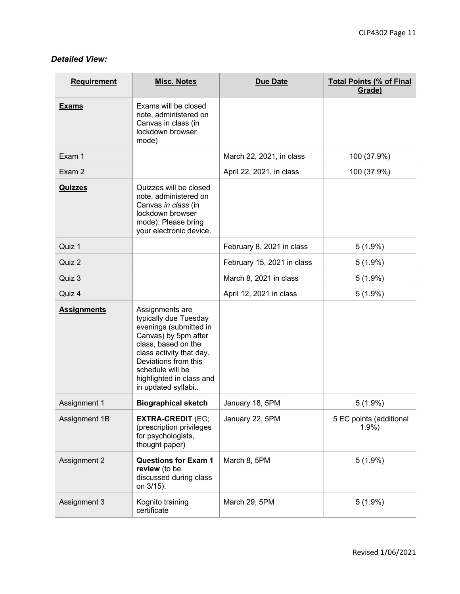# *Detailed View:*

| <b>Requirement</b> | <b>Misc. Notes</b>                                                                                                                                                                                                                          | <b>Due Date</b>            | <b>Total Points (% of Final</b><br>Grade) |
|--------------------|---------------------------------------------------------------------------------------------------------------------------------------------------------------------------------------------------------------------------------------------|----------------------------|-------------------------------------------|
| <b>Exams</b>       | Exams will be closed<br>note, administered on<br>Canvas in class (in<br>lockdown browser<br>mode)                                                                                                                                           |                            |                                           |
| Exam 1             |                                                                                                                                                                                                                                             | March 22, 2021, in class   | 100 (37.9%)                               |
| Exam 2             |                                                                                                                                                                                                                                             | April 22, 2021, in class   | 100 (37.9%)                               |
| <b>Quizzes</b>     | Quizzes will be closed<br>note, administered on<br>Canvas in class (in<br>lockdown browser<br>mode). Please bring<br>your electronic device.                                                                                                |                            |                                           |
| Quiz 1             |                                                                                                                                                                                                                                             | February 8, 2021 in class  | $5(1.9\%)$                                |
| Quiz 2             |                                                                                                                                                                                                                                             | February 15, 2021 in class | $5(1.9\%)$                                |
| Quiz 3             |                                                                                                                                                                                                                                             | March 8, 2021 in class     | $5(1.9\%)$                                |
| Quiz 4             |                                                                                                                                                                                                                                             | April 12, 2021 in class    | $5(1.9\%)$                                |
| <b>Assignments</b> | Assignments are<br>typically due Tuesday<br>evenings (submitted in<br>Canvas) by 5pm after<br>class, based on the<br>class activity that day.<br>Deviations from this<br>schedule will be<br>highlighted in class and<br>in updated syllabi |                            |                                           |
| Assignment 1       | <b>Biographical sketch</b>                                                                                                                                                                                                                  | January 18, 5PM            | $5(1.9\%)$                                |
| Assignment 1B      | <b>EXTRA-CREDIT (EC;</b><br>(prescription privileges<br>for psychologists,<br>thought paper)                                                                                                                                                | January 22, 5PM            | 5 EC points (additional<br>1.9%           |
| Assignment 2       | <b>Questions for Exam 1</b><br>review (to be<br>discussed during class<br>on 3/15).                                                                                                                                                         | March 8, 5PM               | $5(1.9\%)$                                |
| Assignment 3       | Kognito training<br>certificate                                                                                                                                                                                                             | March 29, 5PM              | $5(1.9\%)$                                |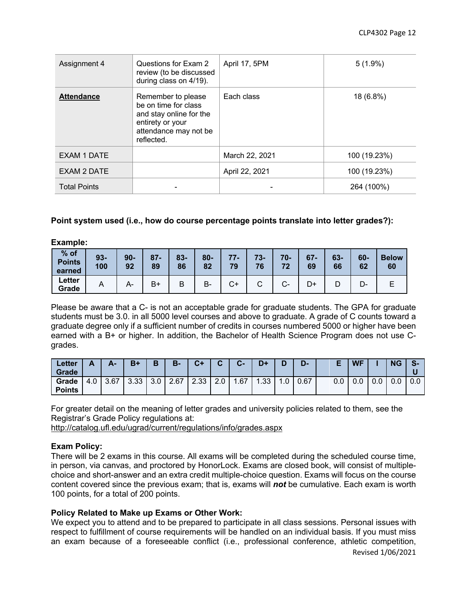| Assignment 4        | Questions for Exam 2<br>review (to be discussed<br>during class on 4/19).                                                        | April 17, 5PM  | $5(1.9\%)$   |
|---------------------|----------------------------------------------------------------------------------------------------------------------------------|----------------|--------------|
| <b>Attendance</b>   | Remember to please<br>be on time for class<br>and stay online for the<br>entirety or your<br>attendance may not be<br>reflected. | Each class     | 18 (6.8%)    |
| EXAM 1 DATE         |                                                                                                                                  | March 22, 2021 | 100 (19.23%) |
| EXAM 2 DATE         |                                                                                                                                  | April 22, 2021 | 100 (19.23%) |
| <b>Total Points</b> |                                                                                                                                  |                | 264 (100%)   |

# **Point system used (i.e., how do course percentage points translate into letter grades?):**

| % of<br><b>Points</b><br>earned | $93 -$<br>100 | $90-$<br>92 | $87 -$<br>89 | $83 -$<br>86 | $80 -$<br>82 | 77<br>, .<br>79 | $73 -$<br>76 | $70-$<br>79 | $67 -$<br>69 | $63 -$<br>66 | 60-<br>62 | <b>Below</b><br>60 |
|---------------------------------|---------------|-------------|--------------|--------------|--------------|-----------------|--------------|-------------|--------------|--------------|-----------|--------------------|
| Letter<br>Grade                 | r             | А-          | $B+$         | В            | B.           | С+              |              | ⌒<br>$\sim$ |              |              | D-        |                    |

Please be aware that a C- is not an acceptable grade for graduate students. The GPA for graduate students must be 3.0. in all 5000 level courses and above to graduate. A grade of C counts toward a graduate degree only if a sufficient number of credits in courses numbered 5000 or higher have been earned with a B+ or higher. In addition, the Bachelor of Health Science Program does not use Cgrades.

| Letter<br>Grade        | Λ<br>$\overline{\phantom{a}}$ | А-   | $B+$ | Ð   | $B -$ | $C+$ | $\sim$ | $\sim$<br>v- | $D+$                            |     | D-   |         | <b>WF</b> |     | <b>NG</b> | $\bullet$<br>-5 |
|------------------------|-------------------------------|------|------|-----|-------|------|--------|--------------|---------------------------------|-----|------|---------|-----------|-----|-----------|-----------------|
| Grade<br><b>Points</b> | 4.0                           | 3.67 | 3.33 | 3.0 | 2.67  | 2.33 | 2.0    | .67          | .33<br>$\overline{\phantom{a}}$ | 0.1 | 0.67 | $0.0\,$ | 0.0       | 0.0 | 0.0       | 0.0             |

For greater detail on the meaning of letter grades and university policies related to them, see the Registrar's Grade Policy regulations at:

http://catalog.ufl.edu/ugrad/current/regulations/info/grades.aspx

#### **Exam Policy:**

There will be 2 exams in this course. All exams will be completed during the scheduled course time, in person, via canvas, and proctored by HonorLock. Exams are closed book, will consist of multiplechoice and short-answer and an extra credit multiple-choice question. Exams will focus on the course content covered since the previous exam; that is, exams will *not* be cumulative. Each exam is worth 100 points, for a total of 200 points.

# **Policy Related to Make up Exams or Other Work:**

We expect you to attend and to be prepared to participate in all class sessions. Personal issues with respect to fulfillment of course requirements will be handled on an individual basis. If you must miss an exam because of a foreseeable conflict (i.e., professional conference, athletic competition,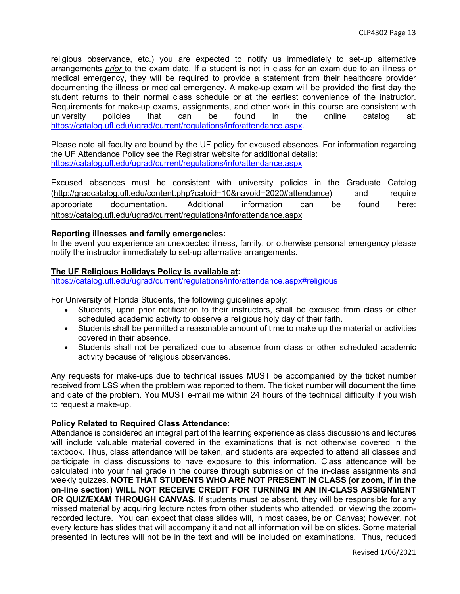religious observance, etc.) you are expected to notify us immediately to set-up alternative arrangements *prior* to the exam date. If a student is not in class for an exam due to an illness or medical emergency, they will be required to provide a statement from their healthcare provider documenting the illness or medical emergency. A make-up exam will be provided the first day the student returns to their normal class schedule or at the earliest convenience of the instructor. Requirements for make-up exams, assignments, and other work in this course are consistent with university policies that can be found in the online catalog at: https://catalog.ufl.edu/ugrad/current/regulations/info/attendance.aspx.

Please note all faculty are bound by the UF policy for excused absences. For information regarding the UF Attendance Policy see the Registrar website for additional details: https://catalog.ufl.edu/ugrad/current/regulations/info/attendance.aspx

Excused absences must be consistent with university policies in the Graduate Catalog (http://gradcatalog.ufl.edu/content.php?catoid=10&navoid=2020#attendance) and require appropriate documentation. Additional information can be found here: https://catalog.ufl.edu/ugrad/current/regulations/info/attendance.aspx

# **Reporting illnesses and family emergencies:**

In the event you experience an unexpected illness, family, or otherwise personal emergency please notify the instructor immediately to set-up alternative arrangements.

# **The UF Religious Holidays Policy is available at:**

https://catalog.ufl.edu/ugrad/current/regulations/info/attendance.aspx#religious

For University of Florida Students, the following guidelines apply:

- Students, upon prior notification to their instructors, shall be excused from class or other scheduled academic activity to observe a religious holy day of their faith.
- Students shall be permitted a reasonable amount of time to make up the material or activities covered in their absence.
- Students shall not be penalized due to absence from class or other scheduled academic activity because of religious observances.

Any requests for make-ups due to technical issues MUST be accompanied by the ticket number received from LSS when the problem was reported to them. The ticket number will document the time and date of the problem. You MUST e-mail me within 24 hours of the technical difficulty if you wish to request a make-up.

# **Policy Related to Required Class Attendance:**

Attendance is considered an integral part of the learning experience as class discussions and lectures will include valuable material covered in the examinations that is not otherwise covered in the textbook. Thus, class attendance will be taken, and students are expected to attend all classes and participate in class discussions to have exposure to this information. Class attendance will be calculated into your final grade in the course through submission of the in-class assignments and weekly quizzes. **NOTE THAT STUDENTS WHO ARE NOT PRESENT IN CLASS (or zoom, if in the on-line section) WILL NOT RECEIVE CREDIT FOR TURNING IN AN IN-CLASS ASSIGNMENT OR QUIZ/EXAM THROUGH CANVAS**. If students must be absent, they will be responsible for any missed material by acquiring lecture notes from other students who attended, or viewing the zoomrecorded lecture. You can expect that class slides will, in most cases, be on Canvas; however, not every lecture has slides that will accompany it and not all information will be on slides. Some material presented in lectures will not be in the text and will be included on examinations. Thus, reduced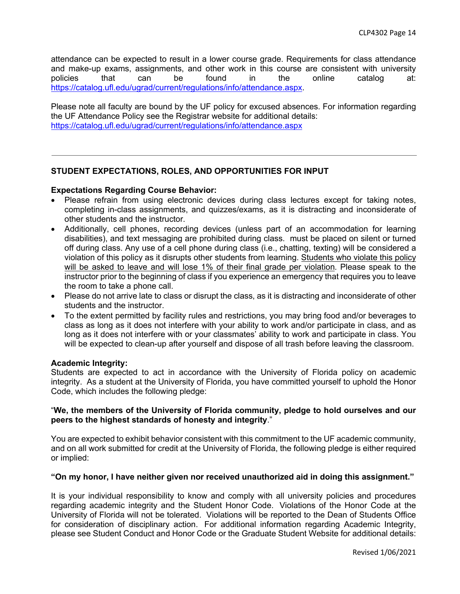attendance can be expected to result in a lower course grade. Requirements for class attendance and make-up exams, assignments, and other work in this course are consistent with university policies that can be found in the online catalog at: https://catalog.ufl.edu/ugrad/current/regulations/info/attendance.aspx.

Please note all faculty are bound by the UF policy for excused absences. For information regarding the UF Attendance Policy see the Registrar website for additional details: https://catalog.ufl.edu/ugrad/current/regulations/info/attendance.aspx

# **STUDENT EXPECTATIONS, ROLES, AND OPPORTUNITIES FOR INPUT**

# **Expectations Regarding Course Behavior:**

- Please refrain from using electronic devices during class lectures except for taking notes, completing in-class assignments, and quizzes/exams, as it is distracting and inconsiderate of other students and the instructor.
- Additionally, cell phones, recording devices (unless part of an accommodation for learning disabilities), and text messaging are prohibited during class. must be placed on silent or turned off during class. Any use of a cell phone during class (i.e., chatting, texting) will be considered a violation of this policy as it disrupts other students from learning. Students who violate this policy will be asked to leave and will lose 1% of their final grade per violation. Please speak to the instructor prior to the beginning of class if you experience an emergency that requires you to leave the room to take a phone call.
- Please do not arrive late to class or disrupt the class, as it is distracting and inconsiderate of other students and the instructor.
- To the extent permitted by facility rules and restrictions, you may bring food and/or beverages to class as long as it does not interfere with your ability to work and/or participate in class, and as long as it does not interfere with or your classmates' ability to work and participate in class. You will be expected to clean-up after yourself and dispose of all trash before leaving the classroom.

#### **Academic Integrity:**

Students are expected to act in accordance with the University of Florida policy on academic integrity. As a student at the University of Florida, you have committed yourself to uphold the Honor Code, which includes the following pledge:

# "**We, the members of the University of Florida community, pledge to hold ourselves and our peers to the highest standards of honesty and integrity**."

You are expected to exhibit behavior consistent with this commitment to the UF academic community, and on all work submitted for credit at the University of Florida, the following pledge is either required or implied:

#### **"On my honor, I have neither given nor received unauthorized aid in doing this assignment."**

It is your individual responsibility to know and comply with all university policies and procedures regarding academic integrity and the Student Honor Code. Violations of the Honor Code at the University of Florida will not be tolerated. Violations will be reported to the Dean of Students Office for consideration of disciplinary action. For additional information regarding Academic Integrity, please see Student Conduct and Honor Code or the Graduate Student Website for additional details: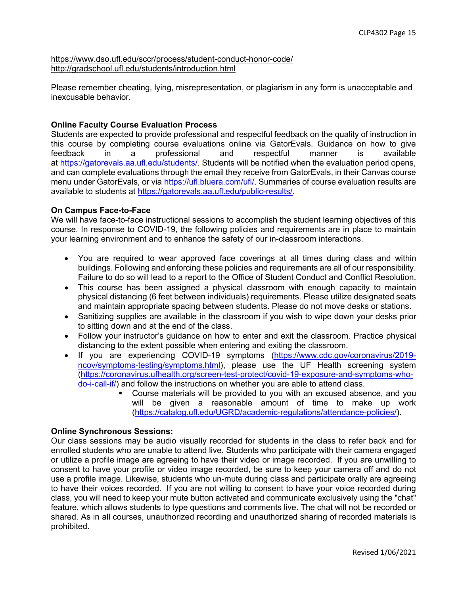https://www.dso.ufl.edu/sccr/process/student-conduct-honor-code/ http://gradschool.ufl.edu/students/introduction.html

Please remember cheating, lying, misrepresentation, or plagiarism in any form is unacceptable and inexcusable behavior.

# **Online Faculty Course Evaluation Process**

Students are expected to provide professional and respectful feedback on the quality of instruction in this course by completing course evaluations online via GatorEvals. Guidance on how to give feedback in a professional and respectful manner is available at https://gatorevals.aa.ufl.edu/students/. Students will be notified when the evaluation period opens, and can complete evaluations through the email they receive from GatorEvals, in their Canvas course menu under GatorEvals, or via https://ufl.bluera.com/ufl/. Summaries of course evaluation results are available to students at https://gatorevals.aa.ufl.edu/public-results/.

# **On Campus Face-to-Face**

We will have face-to-face instructional sessions to accomplish the student learning objectives of this course. In response to COVID-19, the following policies and requirements are in place to maintain your learning environment and to enhance the safety of our in-classroom interactions.

- You are required to wear approved face coverings at all times during class and within buildings. Following and enforcing these policies and requirements are all of our responsibility. Failure to do so will lead to a report to the Office of Student Conduct and Conflict Resolution.
- This course has been assigned a physical classroom with enough capacity to maintain physical distancing (6 feet between individuals) requirements. Please utilize designated seats and maintain appropriate spacing between students. Please do not move desks or stations.
- Sanitizing supplies are available in the classroom if you wish to wipe down your desks prior to sitting down and at the end of the class.
- Follow your instructor's guidance on how to enter and exit the classroom. Practice physical distancing to the extent possible when entering and exiting the classroom.
- If you are experiencing COVID-19 symptoms (https://www.cdc.gov/coronavirus/2019 ncov/symptoms-testing/symptoms.html), please use the UF Health screening system (https://coronavirus.ufhealth.org/screen-test-protect/covid-19-exposure-and-symptoms-whodo-i-call-if/) and follow the instructions on whether you are able to attend class.
	- § Course materials will be provided to you with an excused absence, and you will be given a reasonable amount of time to make up work (https://catalog.ufl.edu/UGRD/academic-regulations/attendance-policies/).

#### **Online Synchronous Sessions:**

Our class sessions may be audio visually recorded for students in the class to refer back and for enrolled students who are unable to attend live. Students who participate with their camera engaged or utilize a profile image are agreeing to have their video or image recorded. If you are unwilling to consent to have your profile or video image recorded, be sure to keep your camera off and do not use a profile image. Likewise, students who un-mute during class and participate orally are agreeing to have their voices recorded. If you are not willing to consent to have your voice recorded during class, you will need to keep your mute button activated and communicate exclusively using the "chat" feature, which allows students to type questions and comments live. The chat will not be recorded or shared. As in all courses, unauthorized recording and unauthorized sharing of recorded materials is prohibited.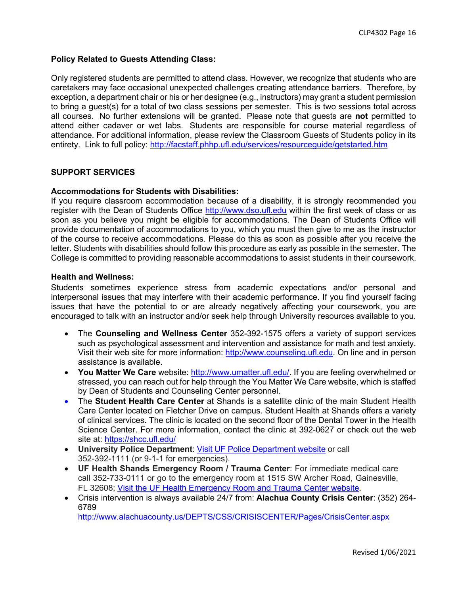# **Policy Related to Guests Attending Class:**

Only registered students are permitted to attend class. However, we recognize that students who are caretakers may face occasional unexpected challenges creating attendance barriers. Therefore, by exception, a department chair or his or her designee (e.g., instructors) may grant a student permission to bring a guest(s) for a total of two class sessions per semester. This is two sessions total across all courses. No further extensions will be granted. Please note that guests are **not** permitted to attend either cadaver or wet labs. Students are responsible for course material regardless of attendance. For additional information, please review the Classroom Guests of Students policy in its entirety. Link to full policy: http://facstaff.phhp.ufl.edu/services/resourceguide/getstarted.htm

# **SUPPORT SERVICES**

#### **Accommodations for Students with Disabilities:**

If you require classroom accommodation because of a disability, it is strongly recommended you register with the Dean of Students Office http://www.dso.ufl.edu within the first week of class or as soon as you believe you might be eligible for accommodations. The Dean of Students Office will provide documentation of accommodations to you, which you must then give to me as the instructor of the course to receive accommodations. Please do this as soon as possible after you receive the letter. Students with disabilities should follow this procedure as early as possible in the semester. The College is committed to providing reasonable accommodations to assist students in their coursework.

#### **Health and Wellness:**

Students sometimes experience stress from academic expectations and/or personal and interpersonal issues that may interfere with their academic performance. If you find yourself facing issues that have the potential to or are already negatively affecting your coursework, you are encouraged to talk with an instructor and/or seek help through University resources available to you.

- The **Counseling and Wellness Center** 352-392-1575 offers a variety of support services such as psychological assessment and intervention and assistance for math and test anxiety. Visit their web site for more information: http://www.counseling.ufl.edu. On line and in person assistance is available.
- **You Matter We Care** website: http://www.umatter.ufl.edu/. If you are feeling overwhelmed or stressed, you can reach out for help through the You Matter We Care website, which is staffed by Dean of Students and Counseling Center personnel.
- The **Student Health Care Center** at Shands is a satellite clinic of the main Student Health Care Center located on Fletcher Drive on campus. Student Health at Shands offers a variety of clinical services. The clinic is located on the second floor of the Dental Tower in the Health Science Center. For more information, contact the clinic at 392-0627 or check out the web site at: https://shcc.ufl.edu/
- **University Police Department**: Visit UF Police Department website or call 352-392-1111 (or 9-1-1 for emergencies).
- **UF Health Shands Emergency Room / Trauma Center**: For immediate medical care call 352-733-0111 or go to the emergency room at 1515 SW Archer Road, Gainesville, FL 32608; Visit the UF Health Emergency Room and Trauma Center website.
- Crisis intervention is always available 24/7 from: **Alachua County Crisis Center**: (352) 264- 6789

http://www.alachuacounty.us/DEPTS/CSS/CRISISCENTER/Pages/CrisisCenter.aspx